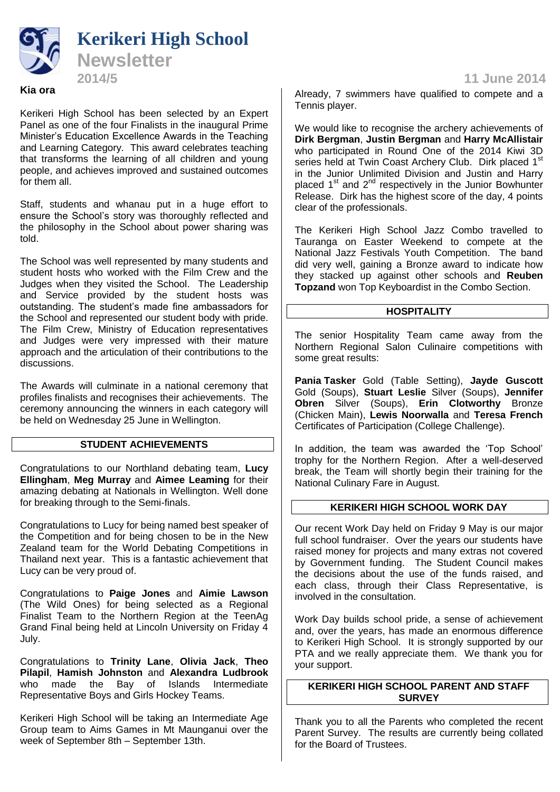

# **Kia ora**

Kerikeri High School has been selected by an Expert Panel as one of the four Finalists in the inaugural Prime Minister's Education Excellence Awards in the Teaching and Learning Category. This award celebrates teaching that transforms the learning of all children and young people, and achieves improved and sustained outcomes for them all.

Staff, students and whanau put in a huge effort to ensure the School's story was thoroughly reflected and the philosophy in the School about power sharing was told.

The School was well represented by many students and student hosts who worked with the Film Crew and the Judges when they visited the School. The Leadership and Service provided by the student hosts was outstanding. The student's made fine ambassadors for the School and represented our student body with pride. The Film Crew, Ministry of Education representatives and Judges were very impressed with their mature approach and the articulation of their contributions to the discussions.

The Awards will culminate in a national ceremony that profiles finalists and recognises their achievements. The ceremony announcing the winners in each category will be held on Wednesday 25 June in Wellington.

## **STUDENT ACHIEVEMENTS**

Congratulations to our Northland debating team, **Lucy Ellingham**, **Meg Murray** and **Aimee Leaming** for their amazing debating at Nationals in Wellington. Well done for breaking through to the Semi-finals.

Congratulations to Lucy for being named best speaker of the Competition and for being chosen to be in the New Zealand team for the World Debating Competitions in Thailand next year. This is a fantastic achievement that Lucy can be very proud of.

Congratulations to **Paige Jones** and **Aimie Lawson** (The Wild Ones) for being selected as a Regional Finalist Team to the Northern Region at the TeenAg Grand Final being held at Lincoln University on Friday 4 July.

Congratulations to **Trinity Lane**, **Olivia Jack**, **Theo Pilapil**, **Hamish Johnston** and **Alexandra Ludbrook**  who made the Bay of Islands Intermediate Representative Boys and Girls Hockey Teams.

Kerikeri High School will be taking an Intermediate Age Group team to Aims Games in Mt Maunganui over the week of September 8th – September 13th.

Already, 7 swimmers have qualified to compete and a Tennis player.

We would like to recognise the archery achievements of **Dirk Bergman**, **Justin Bergman** and **Harry McAllistair** who participated in Round One of the 2014 Kiwi 3D series held at Twin Coast Archery Club. Dirk placed 1<sup>st</sup> in the Junior Unlimited Division and Justin and Harry placed 1<sup>st</sup> and 2<sup>nd</sup> respectively in the Junior Bowhunter Release. Dirk has the highest score of the day, 4 points clear of the professionals.

The Kerikeri High School Jazz Combo travelled to Tauranga on Easter Weekend to compete at the National Jazz Festivals Youth Competition. The band did very well, gaining a Bronze award to indicate how they stacked up against other schools and **Reuben Topzand** won Top Keyboardist in the Combo Section.

# **HOSPITALITY**

The senior Hospitality Team came away from the Northern Regional Salon Culinaire competitions with some great results:

**Pania Tasker** Gold (Table Setting), **Jayde Guscott** Gold (Soups), **Stuart Leslie** Silver (Soups), **Jennifer Obren** Silver (Soups), **Erin Clotworthy** Bronze (Chicken Main), **Lewis Noorwalla** and **Teresa French** Certificates of Participation (College Challenge).

In addition, the team was awarded the 'Top School' trophy for the Northern Region. After a well-deserved break, the Team will shortly begin their training for the National Culinary Fare in August.

# **KERIKERI HIGH SCHOOL WORK DAY**

Our recent Work Day held on Friday 9 May is our major full school fundraiser. Over the years our students have raised money for projects and many extras not covered by Government funding. The Student Council makes the decisions about the use of the funds raised, and each class, through their Class Representative, is involved in the consultation.

Work Day builds school pride, a sense of achievement and, over the years, has made an enormous difference to Kerikeri High School. It is strongly supported by our PTA and we really appreciate them. We thank you for your support.

# **KERIKERI HIGH SCHOOL PARENT AND STAFF SURVEY**

Thank you to all the Parents who completed the recent Parent Survey. The results are currently being collated for the Board of Trustees.